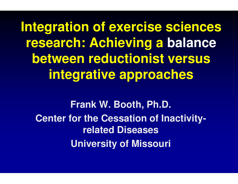**Integration of exercise sciences research: Achieving a balancebetween reductionist versus integrative approaches**

**Frank W. Booth, Ph.D.Center for the Cessation of Inactivityrelated DiseasesUniversity of Missouri-**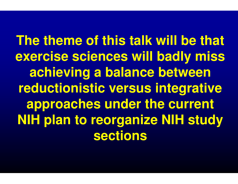**The theme of this talk will be that exercise sciences will badly miss achieving a balance between reductionistic versus integrative approaches under the current NIH plan to reorganize NIH study sections**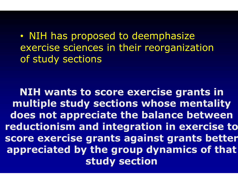$\bullet$ • NIH has proposed to deemphasize exercise sciences in their reorganization of study sections

NIH wants to score exercise grants in multiple study sections whose mentality does not appreciate the balance between reductionism and integration in exercise to score exercise grants against grants better appreciated by the group dynamics of that study section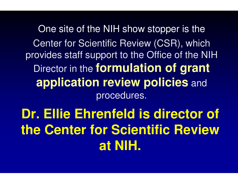One site of the NIH show stopper is theCenter for Scientific Review (CSR), which provides staff support to the Office of the NIH Director in the **formulation of grant application review policies** and procedures.

**Dr. Ellie Ehrenfeld is director of the Center for Scientific Review at NIH.**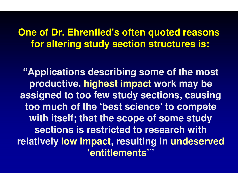#### **One of Dr. Ehrenfled's often quoted reasonsfor altering study section structures is:**

**"Applications describing some of the most productive, highest impact work may be assigned to too few study sections, causing too much of the 'best science' to compete with itself; that the scope of some study sections is restricted to research with relatively low impact, resulting in , undeserved 'entitlements'"**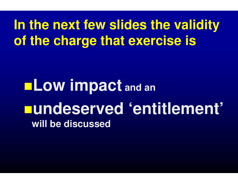# **In the next few slides the validity of the charge that exercise is**

**Low impact and anundeserved 'entitlement'will be discussed**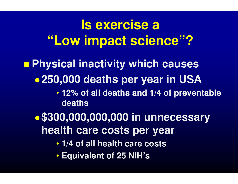# **Is exercise a "Low impact science"?**

#### **Contract** ■ Physical inactivity which causes

- $\bullet$ **250,000 deaths per year in USA**
	- **12% of all deaths and 1/4 of preventable deaths**
- $\bullet$ **\$300,000,000,000 in unnecessary health care costs per year**
	- **1/4 of all health care costs**
	- **Equivalent of 25 NIH's**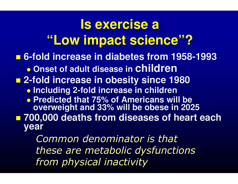#### **Is exercise a "Low impact science"? 6-fold increase in diabetes from 1958 fold 1958-1993** $\bullet$ **• Onset of adult disease in Children 2-fold increase in obesity since 1980** - **Including 2-fold increase in childrenfold**  - **Predicted that 75% of Americans will be overweight and 33% will be obese in 2025 700,000 deaths from diseases of heart each year** Common denominator is that**fold**

 these are metabolic dysfunctions from physical inactivity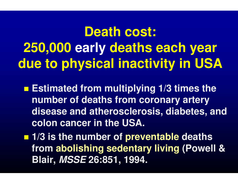**Death cost:250,000 early deaths each year due to physical inactivity in USA**

**Estimated from multiplying 1/3 times the number of deaths from coronary artery disease and atherosclerosis, diabetes, and colon cancer in the USA.**

**1/3 is the number of preventable deaths from abolishing sedentary living (Powell & Blair, MSSE 26:851, 1994.**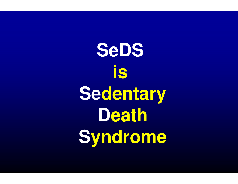**SeDSis Sedentary DeathSedentary<br>Death<br>Syndrome**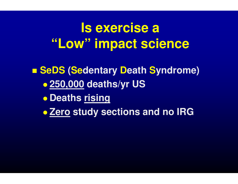# **Is exercise a "Low" impact science**

**C** ■ SeDS (Sedentary Death Syndrome)  $\bullet$  **250,000 deaths/yr US** $\bullet$  **Deaths rising** $\bullet$ **Zero study sections and no IRG**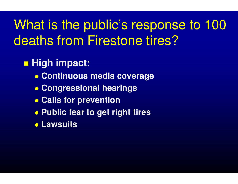# What is the public's response to 100 deaths from Firestone tires?

### <mark>■ High impact:</mark>

- $\bullet$ **Continuous media coverage**
- $\bullet$ **Congressional hearings**
- $\bullet$ **Calls for prevention**
- **Public fear to get right tires**
- **Lawsuits**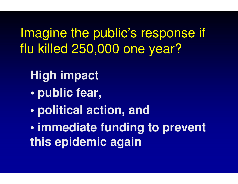Imagine the public's response if flu killed 250,000 one year?

**High impact**

- **public fear,**
- **political action, and**

**• immediate funding to prevent this epidemic again**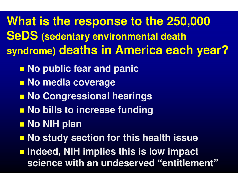**What is the response to the 250,000 SeDS (sedentary environmental death syndrome) deaths in America each year?**

- **No public fear and panic**
- No media coverage
- p. **No Congressional hearings**
- No bills to increase funding
- <mark>■ No NIH plan</mark>
- **No study section for this health issue**

**Indeed, NIH implies this is low impact science with an undeserved "entitlement"**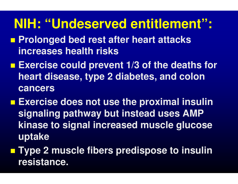### **NIH: "Undeserved entitlement":**

- **Prolonged bed rest after heart attacks increases health risks**
- **Exercise could prevent 1/3 of the deaths for heart disease, type 2 diabetes, and colon cancers**
- **Exercise does not use the proximal insulin signaling pathway but instead uses AMP kinase to signal increased muscle glucose uptake**
- **Type 2 muscle fibers predispose to insulin resistance.**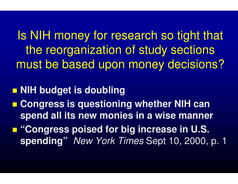Is NIH money for research so tight that the reorganization of study sections must be based upon money decisions?

**NIH budget is doubling**

p. **E** Congress is questioning whether NIH can **spend all its new monies in a wise manner**

þ. **"Congress poised for big increase in U.S. spending"** New York Times Sept 10, 2000, p. 1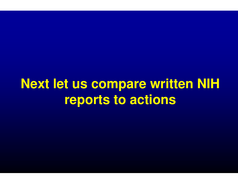**Next let us compare written NIH reports to actions**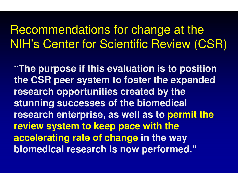#### Recommendations for change at the NIH's Center for Scientific Review (CSR)

**"The purpose if this evaluation is to position the CSR peer system to foster the expanded research opportunities created by the stunning successes of the biomedical research enterprise, as well as to permit the review system to keep pace with the accelerating rate of change in the way biomedical research is now performed."**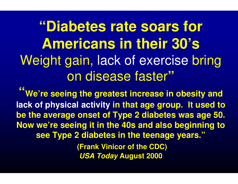**"Diabetes rate soars for Americans in their 30's**Weight gain, lack of exercise bring on disease faster**"**

**" lack of physical activity in that age group. It used to We're seeing the greatest increase in obesity and be the average onset of Type 2 diabetes was age 50.Now we're seeing it in the 40s and also beginning to see Type 2 diabetes in the teenage years."**

> **(Frank Vinicor of the CDC)USA TodayAugust 2000**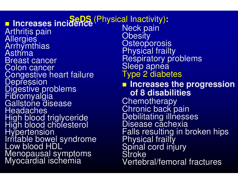**n** Increases incidence<sup>(Physical Inactivity)</sup><br>Arthritia pain Arthritis pain Allergies**Arrhymthias Asthma**  Breast cancer Colon cancer Congestive heart failure**Depression**  Digestive problems**Fibromyalgia** Gallstone disease **Headaches** High blood triglyceride High blood cholesterolHypertension Irritable bowel syndrome Low blood HDLMenopausal symptomsMyocardial ischemia

**:**Neck pain**Obesity Osteoporosis**  Physical frailtyRespiratory problems<br>Sleep apnea Type 2 diabetes **Increases the progression of 8 disabilities**Chemotherapy<br>Chronic back pain Chronic back pain<br>Debilitating illnesses Disease cachexiaFalls resulting in broken hips Physical frailtySpinal cord injury<br>Stroke Vertebral/femoral fractures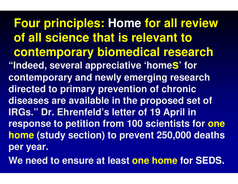**Four principles: Home for all review of all science that is relevant to contemporary biomedical research"Indeed, several appreciative 'homes' for contemporary and newly emerging research directed to primary prevention of chronic diseases are available in the proposed set of IRGs." Dr. Ehrenfeld's letter of 19 April in response to petition from 100 scientists for one home (study section) to prevent 250,000 deaths per year.**

**We need to ensure at least one home for SEDS.**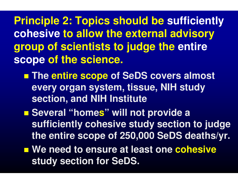**Principle 2: Topics should be sufficiently cohesive to allow the external advisory group of scientists to judge the entire scope of the science.**

- a<br>Ma **The entire scope of SeDS covers almost every organ system, tissue, NIH study section, and NIH Institute**
- **Several "home s" will not provide a** Several "homes" will not provide a<br>sufficiently cohesive study section to judge **the entire scope of 250,000 SeDS deaths/yr.**
- We need to ensure at least one **cohesive study section for SeDS.**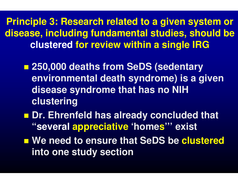**Principle 3: Research relaelated to a given system or disease, including fundamamental studies, should be clustered for review within a single IRG**

- a<br>Ma **250,000 deaths from SeDS (sedentary environmental death syndrome) is a given disease syndrome that has no NIH clustering**
- **Dr. Ehrenfeld has already concluded that "several appreciative 'home s''' exist**
- **Service Service** ■ We need to ensure that SeDS be clustered **into one study section**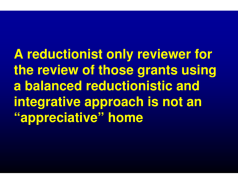**A reductionist only reviewer for the review of those grants using a balanced reductionistic and integrative approach is not an "appreciative" home**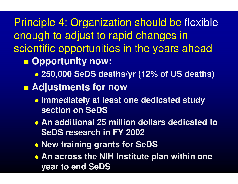Principle 4: Organization should be flexibleenough to adjust to rapid changes in scientific opportunities in the years ahead

- a<br>Ma ■ Opportunity now:
	- $\bullet$ **250,000 SeDS deaths/yr (12% of US deaths)**
- **Adjustments for now**
	- **Immediately at least one dedicated study section on SeDS**
	- **An additional 25 million dollars dedicated to SeDS research in FY 2002**
	- $\bullet$ **New training grants for SeDS**
	- **An across the NIH Institute plan within one year to end SeDS**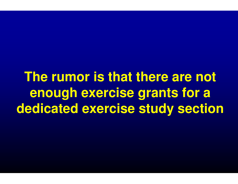**The rumor is that there are not enough exercise grants for a dedicated exercise study section**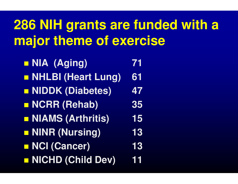# **286 NIH grants are funded with a major theme of exercise**

| <b>NIA (Aging)</b>       | 71        |
|--------------------------|-----------|
| NHLBI (Heart Lung)       | 61        |
| <b>NIDDK (Diabetes)</b>  | 47        |
| NCRR (Rehab)             | <b>35</b> |
| <b>NIAMS (Arthritis)</b> | 15        |
| NINR (Nursing)           | 13        |
| <b>NCI (Cancer)</b>      | 13        |
| NICHD (Child Dev)        | 11        |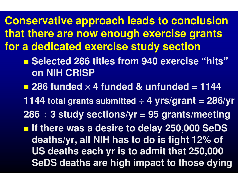**Conservative approach leads to conclusion that there are now enough exercise grants for a dedicated exercise study section**

- a<br>Ma ■ Selected 286 titles from 940 exercise "hits" **on NIH CRISP**
- **286 funded** <sup>×</sup> **4 funded & unfunded = 1144**
- **1144 total grants submitted** <sup>÷</sup> **4 yrs/grant = 286/yr**
- **286** ÷ **3 study sections/yr = 95 grants/meeting**
- **If there was a desire to delay 250,000 SeDS deaths/yr, all NIH has to do is fight 12% of US deaths each yr is to admit that 250,000 SeDS deaths are high impact to those dying**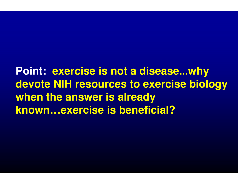**Point: exercise is not a disease...why devote NIH resources to exercise biology when the answer is already known…exercise is beneficial?**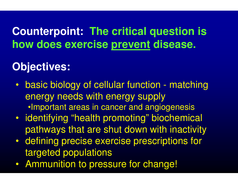#### **Counterpoint: The critical question is how does exercise prevent disease.**

#### **Objectives:**

- $\bullet$  basic biology of cellular function energy needs with energy supply $\bullet$ Important areas in cancer and angiogenesis matching
- $\bullet$  identifying "health promoting" biochemical pathways that are shut down with inactivity
- defining precise exercise prescriptions for defining precise exercise prescriptions for targeted populations
- $\bullet$  Ammunition to prac Ammunition to pressure for change!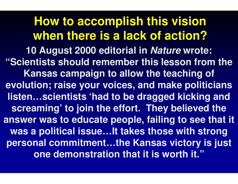**How to accomplish this vision when there is a lack of action? 10 August 2000 editorial in Nature wrote: "Scientists should rememember this lesson from the Kansas campaign to allow the teaching of evolution; raise your voicices, and make politicians listen…scientists 'had to be dragged kicking and screaming' to join the effort. They believed the answer was to educate pepeople, failing to see that it was a political issue…It takes those with strong personal commitment…ththe Kansas victory is just one demonstration that it is worth it."**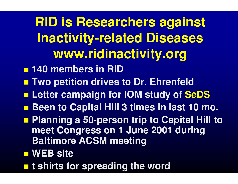**RID is Researchers against Inactivity-related Diseases www.ridinactivity.org**

- **140 members in RID**
- **Two petition drives to Dr. Ehrenfeld**
- Letter campaign for IOM study of S **<u>Example 10 and study</u> of SeDS**
- ■ Been to Capital Hill 3 times in last 10 mo.
- **Service Service Planning a 50-person trip to Capital Hill to meet Congress on 1 June 2001 during Baltimore ACSM meeting**
- WEB site
- **t shirts for spreading the word**